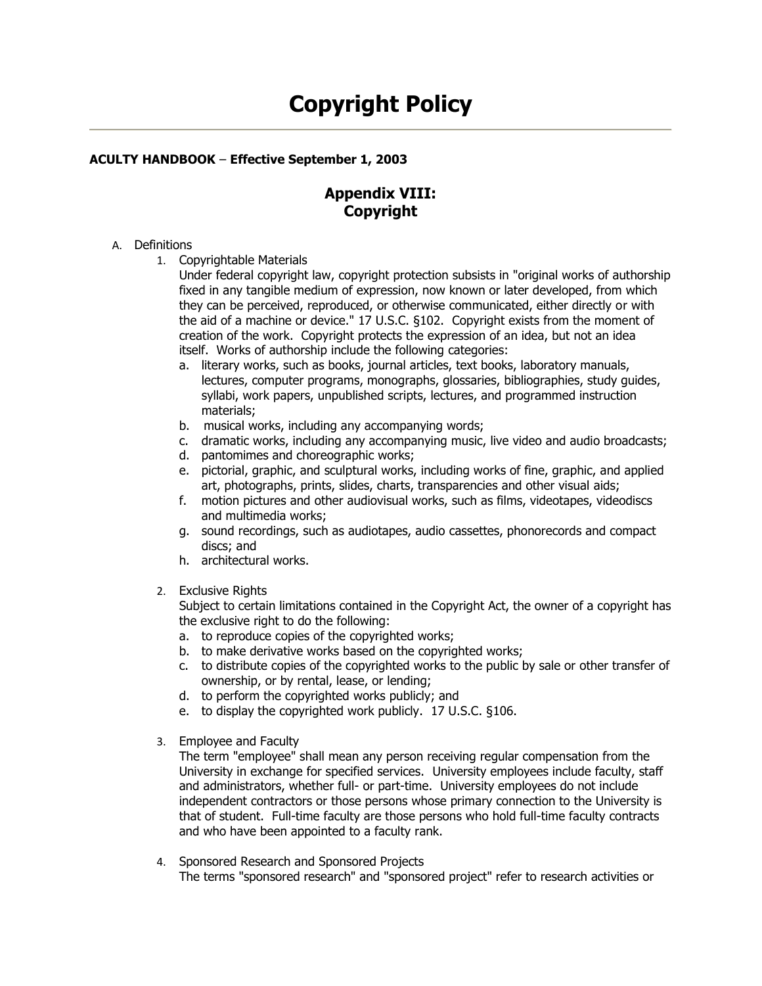# **Copyright Policy**

## **ACULTY HANDBOOK** – **Effective September 1, 2003**

## **Appendix VIII: Copyright**

#### A. Definitions

1. Copyrightable Materials

Under federal copyright law, copyright protection subsists in "original works of authorship fixed in any tangible medium of expression, now known or later developed, from which they can be perceived, reproduced, or otherwise communicated, either directly or with the aid of a machine or device." 17 U.S.C. §102. Copyright exists from the moment of creation of the work. Copyright protects the expression of an idea, but not an idea itself. Works of authorship include the following categories:

- a. literary works, such as books, journal articles, text books, laboratory manuals, lectures, computer programs, monographs, glossaries, bibliographies, study guides, syllabi, work papers, unpublished scripts, lectures, and programmed instruction materials;
- b. musical works, including any accompanying words;
- c. dramatic works, including any accompanying music, live video and audio broadcasts;
- d. pantomimes and choreographic works;
- e. pictorial, graphic, and sculptural works, including works of fine, graphic, and applied art, photographs, prints, slides, charts, transparencies and other visual aids;
- f. motion pictures and other audiovisual works, such as films, videotapes, videodiscs and multimedia works;
- g. sound recordings, such as audiotapes, audio cassettes, phonorecords and compact discs; and
- h. architectural works.
- 2. Exclusive Rights

Subject to certain limitations contained in the Copyright Act, the owner of a copyright has the exclusive right to do the following:

- a. to reproduce copies of the copyrighted works;
- b. to make derivative works based on the copyrighted works;
- c. to distribute copies of the copyrighted works to the public by sale or other transfer of ownership, or by rental, lease, or lending;
- d. to perform the copyrighted works publicly; and
- e. to display the copyrighted work publicly. 17 U.S.C. §106.
- 3. Employee and Faculty

The term "employee" shall mean any person receiving regular compensation from the University in exchange for specified services. University employees include faculty, staff and administrators, whether full- or part-time. University employees do not include independent contractors or those persons whose primary connection to the University is that of student. Full-time faculty are those persons who hold full-time faculty contracts and who have been appointed to a faculty rank.

4. Sponsored Research and Sponsored Projects The terms "sponsored research" and "sponsored project" refer to research activities or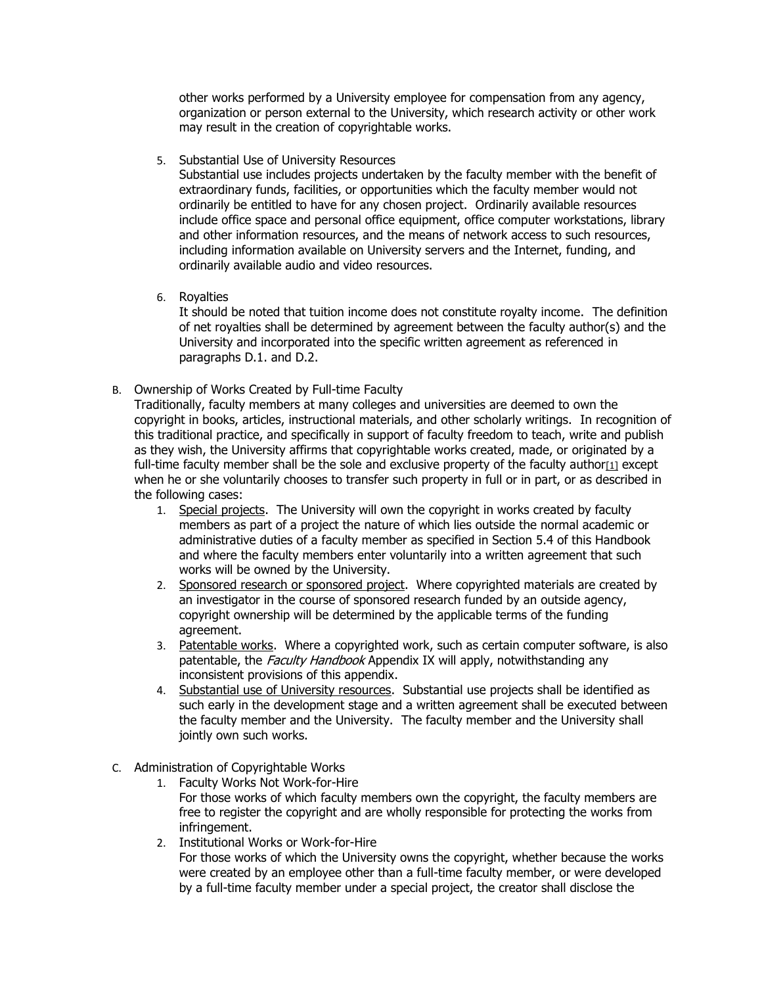other works performed by a University employee for compensation from any agency, organization or person external to the University, which research activity or other work may result in the creation of copyrightable works.

### 5. Substantial Use of University Resources

Substantial use includes projects undertaken by the faculty member with the benefit of extraordinary funds, facilities, or opportunities which the faculty member would not ordinarily be entitled to have for any chosen project. Ordinarily available resources include office space and personal office equipment, office computer workstations, library and other information resources, and the means of network access to such resources, including information available on University servers and the Internet, funding, and ordinarily available audio and video resources.

6. Royalties

It should be noted that tuition income does not constitute royalty income. The definition of net royalties shall be determined by agreement between the faculty author(s) and the University and incorporated into the specific written agreement as referenced in paragraphs D.1. and D.2.

B. Ownership of Works Created by Full-time Faculty

Traditionally, faculty members at many colleges and universities are deemed to own the copyright in books, articles, instructional materials, and other scholarly writings. In recognition of this traditional practice, and specifically in support of faculty freedom to teach, write and publish as they wish, the University affirms that copyrightable works created, made, or originated by a full-time faculty member shall be the sole and exclusive property of the faculty author $[1]$  except when he or she voluntarily chooses to transfer such property in full or in part, or as described in the following cases:

- 1. Special projects. The University will own the copyright in works created by faculty members as part of a project the nature of which lies outside the normal academic or administrative duties of a faculty member as specified in Section 5.4 of this Handbook and where the faculty members enter voluntarily into a written agreement that such works will be owned by the University.
- 2. Sponsored research or sponsored project. Where copyrighted materials are created by an investigator in the course of sponsored research funded by an outside agency, copyright ownership will be determined by the applicable terms of the funding agreement.
- 3. Patentable works. Where a copyrighted work, such as certain computer software, is also patentable, the *Faculty Handbook* Appendix IX will apply, notwithstanding any inconsistent provisions of this appendix.
- 4. Substantial use of University resources. Substantial use projects shall be identified as such early in the development stage and a written agreement shall be executed between the faculty member and the University. The faculty member and the University shall jointly own such works.
- C. Administration of Copyrightable Works
	- 1. Faculty Works Not Work-for-Hire For those works of which faculty members own the copyright, the faculty members are free to register the copyright and are wholly responsible for protecting the works from infringement.
	- 2. Institutional Works or Work-for-Hire For those works of which the University owns the copyright, whether because the works were created by an employee other than a full-time faculty member, or were developed by a full-time faculty member under a special project, the creator shall disclose the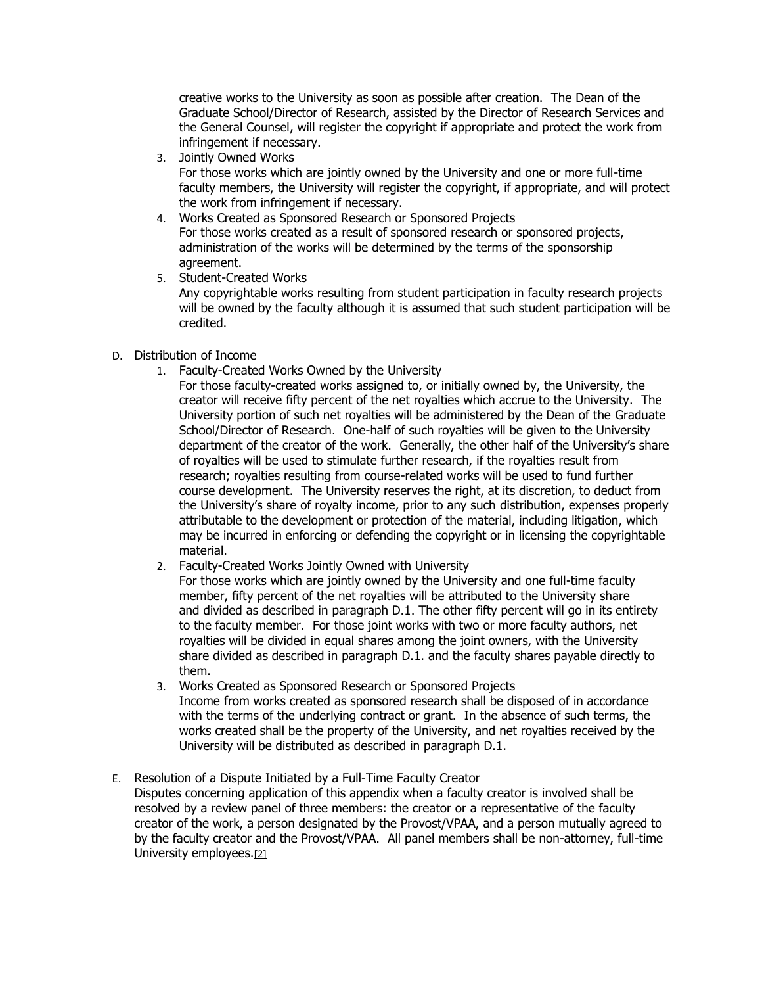creative works to the University as soon as possible after creation. The Dean of the Graduate School/Director of Research, assisted by the Director of Research Services and the General Counsel, will register the copyright if appropriate and protect the work from infringement if necessary.

3. Jointly Owned Works

For those works which are jointly owned by the University and one or more full-time faculty members, the University will register the copyright, if appropriate, and will protect the work from infringement if necessary.

- 4. Works Created as Sponsored Research or Sponsored Projects For those works created as a result of sponsored research or sponsored projects, administration of the works will be determined by the terms of the sponsorship agreement.
- 5. Student-Created Works Any copyrightable works resulting from student participation in faculty research projects will be owned by the faculty although it is assumed that such student participation will be credited.
- D. Distribution of Income
	- 1. Faculty-Created Works Owned by the University
		- For those faculty-created works assigned to, or initially owned by, the University, the creator will receive fifty percent of the net royalties which accrue to the University. The University portion of such net royalties will be administered by the Dean of the Graduate School/Director of Research. One-half of such royalties will be given to the University department of the creator of the work. Generally, the other half of the University's share of royalties will be used to stimulate further research, if the royalties result from research; royalties resulting from course-related works will be used to fund further course development. The University reserves the right, at its discretion, to deduct from the University's share of royalty income, prior to any such distribution, expenses properly attributable to the development or protection of the material, including litigation, which may be incurred in enforcing or defending the copyright or in licensing the copyrightable material.
	- 2. Faculty-Created Works Jointly Owned with University

For those works which are jointly owned by the University and one full-time faculty member, fifty percent of the net royalties will be attributed to the University share and divided as described in paragraph D.1. The other fifty percent will go in its entirety to the faculty member. For those joint works with two or more faculty authors, net royalties will be divided in equal shares among the joint owners, with the University share divided as described in paragraph D.1. and the faculty shares payable directly to them.

- 3. Works Created as Sponsored Research or Sponsored Projects Income from works created as sponsored research shall be disposed of in accordance with the terms of the underlying contract or grant. In the absence of such terms, the works created shall be the property of the University, and net royalties received by the University will be distributed as described in paragraph D.1.
- E. Resolution of a Dispute Initiated by a Full-Time Faculty Creator Disputes concerning application of this appendix when a faculty creator is involved shall be resolved by a review panel of three members: the creator or a representative of the faculty creator of the work, a person designated by the Provost/VPAA, and a person mutually agreed to by the faculty creator and the Provost/VPAA. All panel members shall be non-attorney, full-time University employees.[\[2\]](http://academic.scranton.edu/department/ors/copyright.htm#_edn2)